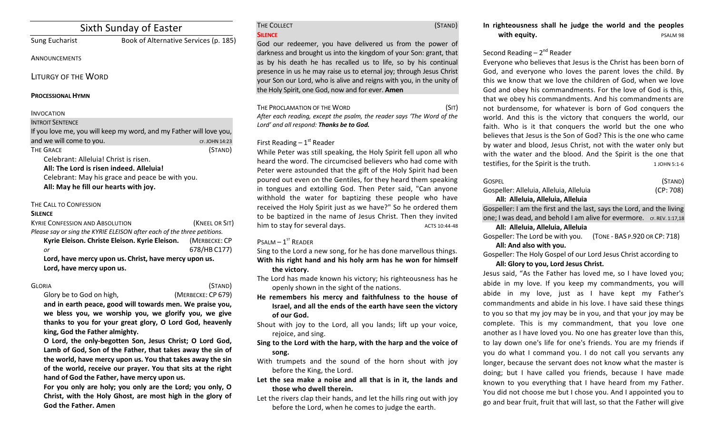# Sixth Sunday of Easter

## Sung Eucharist Book of Alternative Services (p. 185)

**ANNOUNCEMENTS** 

LITURGY OF THE WORD

### **PROCESSIONAL HYMN**

### INVOCATION

#### **INTROIT SENTENCE**

| If you love me, you will keep my word, and my Father will love you, |                |
|---------------------------------------------------------------------|----------------|
| and we will come to you.                                            | CF. JOHN 14:23 |
| THE GRACE<br>.                                                      | (STAND)        |

Celebrant: Alleluia! Christ is risen.

All: The Lord is risen indeed. Alleluia!

Celebrant: May his grace and peace be with you. All: May he fill our hearts with joy.

## THE CALL TO CONFESSION

#### **SILENCE**

| <b>KYRIE CONFESSION AND ABSOLUTION</b>                                  | (KNEEL OR SIT) |  |
|-------------------------------------------------------------------------|----------------|--|
| Please say or sing the KYRIE ELEISON after each of the three petitions. |                |  |
| Kyrie Eleison. Christe Eleison. Kyrie Eleison.                          | (MERBECKE: CP  |  |
| or                                                                      | 678/HB C177)   |  |
| Lord, have mercy upon us. Christ, have mercy upon us.                   |                |  |
| Lord, have mercy upon us.                                               |                |  |

### GLORIA (STAND)

## Glory be to God on high, *(MERBECKE: CP 679)*

and in earth peace, good will towards men. We praise you, we bless you, we worship you, we glorify you, we give thanks to you for your great glory, O Lord God, heavenly king, God the Father almighty.

**O** Lord, the only-begotten Son, Jesus Christ; O Lord God, Lamb of God, Son of the Father, that takes away the sin of the world, have mercy upon us. You that takes away the sin of the world, receive our prayer. You that sits at the right hand of God the Father, have mercy upon us.

For you only are holy; you only are the Lord; you only, O **Christ, with the Holy Ghost, are most high in the glory of God the Father. Amen**

#### THE COLLECT (STAND) **SILENCE**

God our redeemer, you have delivered us from the power of darkness and brought us into the kingdom of your Son: grant, that as by his death he has recalled us to life, so by his continual presence in us he may raise us to eternal joy; through Jesus Christ your Son our Lord, who is alive and reigns with you, in the unity of the Holy Spirit, one God, now and for ever. **Amen** 

THE PROCLAMATION OF THE WORD (SIT) After each reading, except the psalm, the reader says 'The Word of the Lord' and all respond: Thanks be to God.

## First Reading  $-1<sup>st</sup>$  Reader

While Peter was still speaking, the Holy Spirit fell upon all who heard the word. The circumcised believers who had come with Peter were astounded that the gift of the Holy Spirit had been poured out even on the Gentiles, for they heard them speaking in tongues and extolling God. Then Peter said, "Can anyone withhold the water for baptizing these people who have received the Holy Spirit just as we have?" So he ordered them to be baptized in the name of Jesus Christ. Then they invited him to stay for several days. The matter of the ACTS 10:44-48

## $P$ SALM  $-1$ <sup>ST</sup> READER

Sing to the Lord a new song, for he has done marvellous things. With his right hand and his holy arm has he won for himself the victory.

The Lord has made known his victory; his righteousness has he openly shown in the sight of the nations.

- He remembers his mercy and faithfulness to the house of **Israel, and all the ends of the earth have seen the victory** of our God.
- Shout with joy to the Lord, all you lands; lift up your voice, rejoice, and sing.
- Sing to the Lord with the harp, with the harp and the voice of **song.**
- With trumpets and the sound of the horn shout with joy before the King, the Lord.
- Let the sea make a noise and all that is in it, the lands and **those who dwell therein.**
- Let the rivers clap their hands, and let the hills ring out with joy before the Lord, when he comes to judge the earth.

## Second Reading  $-2^{nd}$  Reader

Evervone who believes that Jesus is the Christ has been born of God, and everyone who loves the parent loves the child. By this we know that we love the children of God, when we love God and obey his commandments. For the love of God is this, that we obey his commandments. And his commandments are not burdensome, for whatever is born of God conquers the world. And this is the victory that conquers the world, our faith. Who is it that conquers the world but the one who believes that Jesus is the Son of God? This is the one who came by water and blood, Jesus Christ, not with the water only but with the water and the blood. And the Spirit is the one that testifies, for the Spirit is the truth. 1 JOHN 5:1-6

| <b>GOSPEL</b>                                                         | (STAND)   |
|-----------------------------------------------------------------------|-----------|
| Gospeller: Alleluia, Alleluia, Alleluia                               | (CP: 708) |
| All: Alleluia, Alleluia, Alleluia                                     |           |
| Gospeller: I am the first and the last, says the Lord, and the living |           |
| one; I was dead, and behold I am alive for evermore. CF. REV. 1:17,18 |           |
|                                                                       |           |

#### **All: Alleluia, Alleluia, Alleluia**

| Gospeller: The Lord be with you. | (TONE - BAS P.920 OR CP: 718) |
|----------------------------------|-------------------------------|
| All: And also with you.          |                               |

Gospeller: The Holy Gospel of our Lord Jesus Christ according to All: Glory to you, Lord Jesus Christ.

Jesus said, "As the Father has loved me, so I have loved you; abide in my love. If you keep my commandments, you will abide in my love, just as I have kept my Father's commandments and abide in his love. I have said these things to you so that my joy may be in you, and that your joy may be complete. This is my commandment, that you love one another as I have loved you. No one has greater love than this, to lay down one's life for one's friends. You are my friends if you do what I command you. I do not call you servants any longer, because the servant does not know what the master is doing; but I have called you friends, because I have made known to you everything that I have heard from my Father. You did not choose me but I chose you. And I appointed you to go and bear fruit, fruit that will last, so that the Father will give